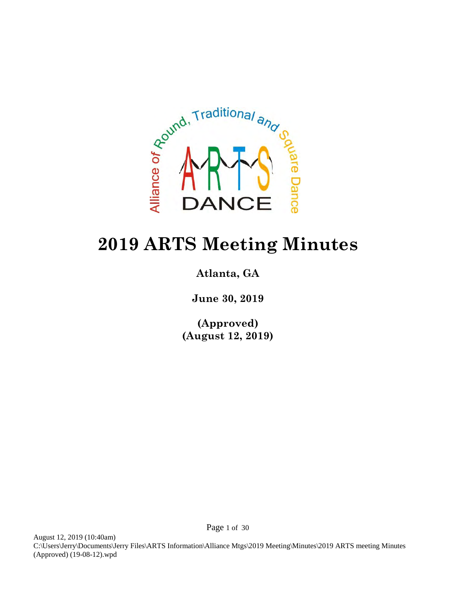

## **2019 ARTS Meeting Minutes**

## **Atlanta, GA**

**June 30, 2019**

**(Approved) (August 12, 2019)**

August 12, 2019 (10:40am) C:\Users\Jerry\Documents\Jerry Files\ARTS Information\Alliance Mtgs\2019 Meeting\Minutes\2019 ARTS meeting Minutes (Approved) (19-08-12).wpd

Page 1 of 30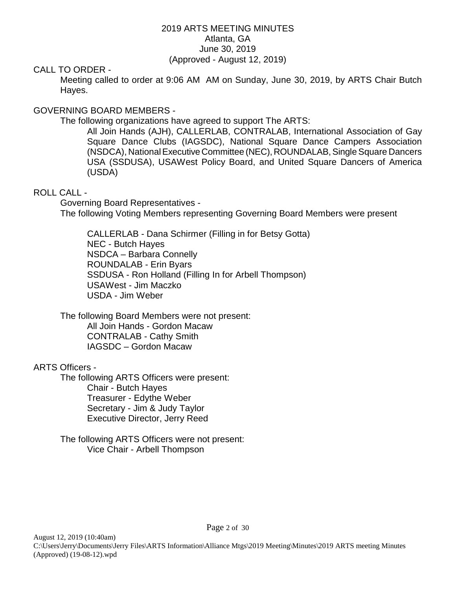#### 2019 ARTS MEETING MINUTES Atlanta, GA June 30, 2019 (Approved - August 12, 2019)

#### CALL TO ORDER -

Meeting called to order at 9:06 AM AM on Sunday, June 30, 2019, by ARTS Chair Butch Hayes.

#### GOVERNING BOARD MEMBERS -

The following organizations have agreed to support The ARTS:

All Join Hands (AJH), CALLERLAB, CONTRALAB, International Association of Gay Square Dance Clubs (IAGSDC), National Square Dance Campers Association (NSDCA), National Executive Committee (NEC), ROUNDALAB, Single Square Dancers USA (SSDUSA), USAWest Policy Board, and United Square Dancers of America (USDA)

#### ROLL CALL -

Governing Board Representatives - The following Voting Members representing Governing Board Members were present

CALLERLAB - Dana Schirmer (Filling in for Betsy Gotta) NEC - Butch Hayes NSDCA – Barbara Connelly ROUNDALAB - Erin Byars SSDUSA - Ron Holland (Filling In for Arbell Thompson) USAWest - Jim Maczko USDA - Jim Weber

The following Board Members were not present: All Join Hands - Gordon Macaw CONTRALAB - Cathy Smith IAGSDC – Gordon Macaw

#### ARTS Officers -

The following ARTS Officers were present: Chair - Butch Hayes Treasurer - Edythe Weber Secretary - Jim & Judy Taylor Executive Director, Jerry Reed

The following ARTS Officers were not present: Vice Chair - Arbell Thompson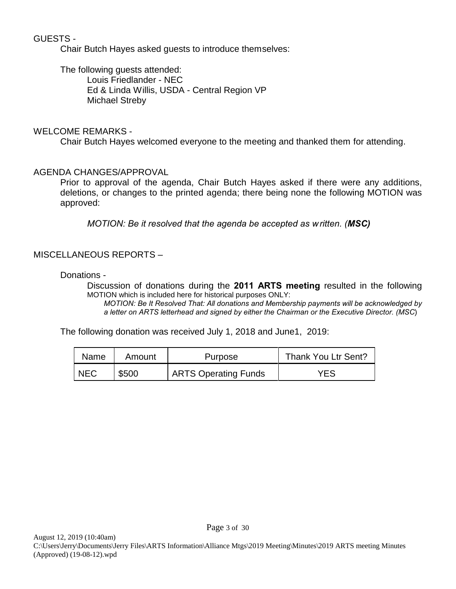## GUESTS -

Chair Butch Hayes asked guests to introduce themselves:

The following guests attended: Louis Friedlander - NEC Ed & Linda Willis, USDA - Central Region VP Michael Streby

## WELCOME REMARKS -

Chair Butch Hayes welcomed everyone to the meeting and thanked them for attending.

#### AGENDA CHANGES/APPROVAL

Prior to approval of the agenda, Chair Butch Hayes asked if there were any additions, deletions, or changes to the printed agenda; there being none the following MOTION was approved:

*MOTION: Be it resolved that the agenda be accepted as written. (MSC)*

#### MISCELLANEOUS REPORTS –

#### Donations -

Discussion of donations during the **2011 ARTS meeting** resulted in the following MOTION which is included here for historical purposes ONLY:

*MOTION: Be It Resolved That: All donations and Membership payments will be acknowledged by a letter on ARTS letterhead and signed by either the Chairman or the Executive Director. (MSC*)

The following donation was received July 1, 2018 and June1, 2019:

| Name       | Amount | <b>Purpose</b>              | Thank You Ltr Sent? |  |  |
|------------|--------|-----------------------------|---------------------|--|--|
| <b>NEC</b> | \$500  | <b>ARTS Operating Funds</b> | YES                 |  |  |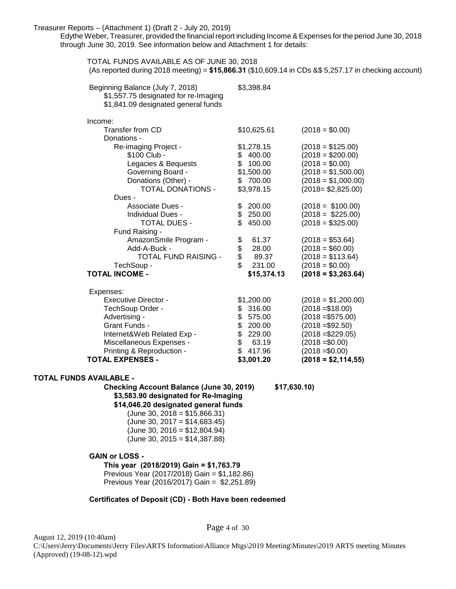#### Treasurer Reports – (Attachment 1) (Draft 2 - July 20, 2019)

Edythe Weber, Treasurer, provided the financial report including Income & Expenses for the period June 30, 2018 through June 30, 2019. See information below and Attachment 1 for details:

TOTAL FUNDS AVAILABLE AS OF JUNE 30, 2018 (As reported during 2018 meeting) = **\$15,866.31** (\$10,609.14 in CDs &\$ 5,257.17 in checking account) Beginning Balance (July 7, 2018) \$3,398.84 \$1,557.75 designated for re-Imaging \$1,841.09 designated general funds Income: Transfer from CD \$10,625.61 (2018 = \$0.00) Donations - Re-imaging Project - \$1,278.15 (2018 = \$125.00)  $$100$  Club -  $$400.00$   $(2018 = $200.00)$ Legacies & Bequests  $$ 100.00$   $(2018 = $0.00)$ Governing Board - \$1,500.00 (2018 = \$1,500.00) Donations (Other) - \$ 700.00 (2018 = \$1,000.00) TOTAL DONATIONS - \$3,978.15 (2018= \$2,825.00) Dues - Associate Dues - \$ 200.00 (2018 = \$100.00) Individual Dues - \$ 250.00 (2018 = \$225.00) TOTAL DUES - \$ 450.00 (2018 = \$325.00) Fund Raising - AmazonSmile Program - \$ 61.37 (2018 = \$53.64) Add-A-Buck -  $$ 28.00$   $(2018 = $60.00)$ <br>TOTAL FUND RAISING -  $$ 89.37$   $(2018 = $113.64)$ TOTAL FUND RAISING - \$ 89.37 (2018 = \$113.64)<br>TechSoup - \$ 231.00 (2018 = \$0.00) TechSoup - \$ 231.00 (2018 = \$0.00) **TOTAL INCOME - \$15,374.13 (2018 = \$3,263.64)** Expenses: Executive Director - \$1,200.00 (2018 = \$1,200.00) TechSoup Order - \$ 316.00 (2018 =\$18.00) Advertising -  $$ 575.00$  (2018 = \$575.00) Grant Funds -  $$ 200.00$   $(2018 = $92.50)$ Internet&Web Related Exp - \$ 229.00 (2018 =\$229.05) Miscellaneous Expenses - \$ 63.19 (2018 =\$0.00) Printing & Reproduction - \$ 417.96 (2018 =\$0.00) **TOTAL EXPENSES - \$3,001.20 (2018 = \$2,114,55)**

**TOTAL FUNDS AVAILABLE -**

**Checking Account Balance (June 30, 2019) \$17,630.10) \$3,583.90 designated for Re-Imaging \$14,046.20 designated general funds**

 $(June 30, 2018 = $15,866.31)$  $(June 30, 2017 = $14,683.45)$ (June 30, 2016 = \$12,804.94) (June 30, 2015 = \$14,387.88)

#### **GAIN or LOSS -**

**This year (2018/2019) Gain = \$1,763.79** Previous Year (2017/2018) Gain = \$1,182.86) Previous Year (2016/2017) Gain = \$2,251.89)

#### **Certificates of Deposit (CD) - Both Have been redeemed**

August 12, 2019 (10:40am) C:\Users\Jerry\Documents\Jerry Files\ARTS Information\Alliance Mtgs\2019 Meeting\Minutes\2019 ARTS meeting Minutes (Approved) (19-08-12).wpd

Page 4 of 30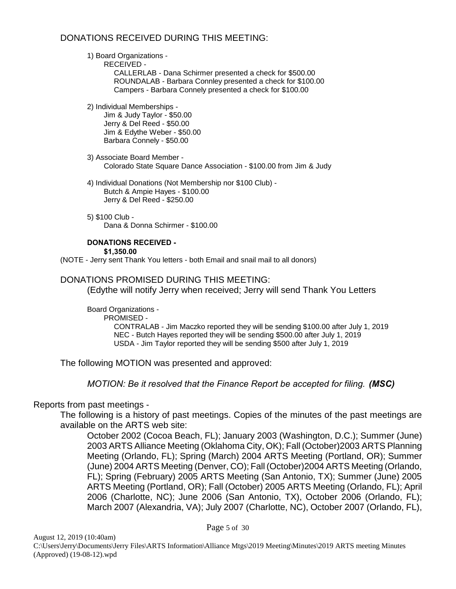#### DONATIONS RECEIVED DURING THIS MEETING:

#### 1) Board Organizations -

RECEIVED - CALLERLAB - Dana Schirmer presented a check for \$500.00 ROUNDALAB - Barbara Connley presented a check for \$100.00 Campers - Barbara Connely presented a check for \$100.00

2) Individual Memberships -

Jim & Judy Taylor - \$50.00 Jerry & Del Reed - \$50.00 Jim & Edythe Weber - \$50.00 Barbara Connely - \$50.00

3) Associate Board Member - Colorado State Square Dance Association - \$100.00 from Jim & Judy

4) Individual Donations (Not Membership nor \$100 Club) - Butch & Ampie Hayes - \$100.00 Jerry & Del Reed - \$250.00

5) \$100 Club - Dana & Donna Schirmer - \$100.00

## **DONATIONS RECEIVED -**

**\$1,350.00**

(NOTE - Jerry sent Thank You letters - both Email and snail mail to all donors)

#### DONATIONS PROMISED DURING THIS MEETING:

(Edythe will notify Jerry when received; Jerry will send Thank You Letters

Board Organizations - PROMISED - CONTRALAB - Jim Maczko reported they will be sending \$100.00 after July 1, 2019 NEC - Butch Hayes reported they will be sending \$500.00 after July 1, 2019 USDA - Jim Taylor reported they will be sending \$500 after July 1, 2019

The following MOTION was presented and approved:

*MOTION: Be it resolved that the Finance Report be accepted for filing. (MSC)* 

#### Reports from past meetings -

The following is a history of past meetings. Copies of the minutes of the past meetings are available on the ARTS web site:

October 2002 (Cocoa Beach, FL); January 2003 (Washington, D.C.); Summer (June) 2003 ARTS Alliance Meeting (Oklahoma City, OK); Fall (October)2003 ARTS Planning Meeting (Orlando, FL); Spring (March) 2004 ARTS Meeting (Portland, OR); Summer (June) 2004 ARTS Meeting (Denver, CO); Fall (October)2004 ARTS Meeting (Orlando, FL); Spring (February) 2005 ARTS Meeting (San Antonio, TX); Summer (June) 2005 ARTS Meeting (Portland, OR); Fall (October) 2005 ARTS Meeting (Orlando, FL); April 2006 (Charlotte, NC); June 2006 (San Antonio, TX), October 2006 (Orlando, FL); March 2007 (Alexandria, VA); July 2007 (Charlotte, NC), October 2007 (Orlando, FL),

Page 5 of 30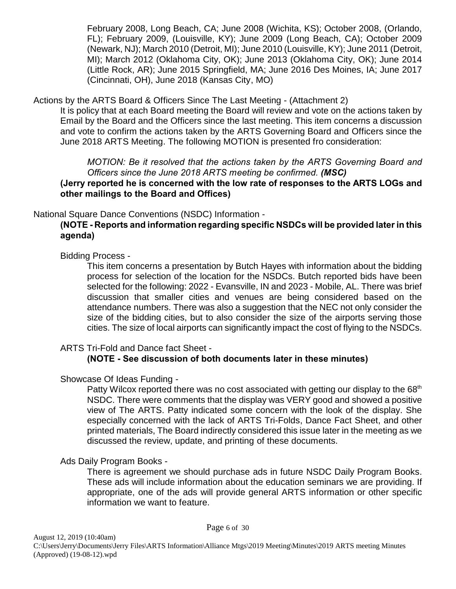February 2008, Long Beach, CA; June 2008 (Wichita, KS); October 2008, (Orlando, FL); February 2009, (Louisville, KY); June 2009 (Long Beach, CA); October 2009 (Newark, NJ); March 2010 (Detroit, MI); June 2010 (Louisville, KY); June 2011 (Detroit, MI); March 2012 (Oklahoma City, OK); June 2013 (Oklahoma City, OK); June 2014 (Little Rock, AR); June 2015 Springfield, MA; June 2016 Des Moines, IA; June 2017 (Cincinnati, OH), June 2018 (Kansas City, MO)

#### Actions by the ARTS Board & Officers Since The Last Meeting - (Attachment 2)

It is policy that at each Board meeting the Board will review and vote on the actions taken by Email by the Board and the Officers since the last meeting. This item concerns a discussion and vote to confirm the actions taken by the ARTS Governing Board and Officers since the June 2018 ARTS Meeting. The following MOTION is presented fro consideration:

*MOTION: Be it resolved that the actions taken by the ARTS Governing Board and Officers since the June 2018 ARTS meeting be confirmed. (MSC)*

**(Jerry reported he is concerned with the low rate of responses to the ARTS LOGs and other mailings to the Board and Offices)** 

National Square Dance Conventions (NSDC) Information -

## **(NOTE - Reports and information regarding specific NSDCs will be provided later in this agenda)**

#### Bidding Process -

This item concerns a presentation by Butch Hayes with information about the bidding process for selection of the location for the NSDCs. Butch reported bids have been selected for the following: 2022 - Evansville, IN and 2023 - Mobile, AL. There was brief discussion that smaller cities and venues are being considered based on the attendance numbers. There was also a suggestion that the NEC not only consider the size of the bidding cities, but to also consider the size of the airports serving those cities. The size of local airports can significantly impact the cost of flying to the NSDCs.

## ARTS Tri-Fold and Dance fact Sheet -

## **(NOTE - See discussion of both documents later in these minutes)**

## Showcase Of Ideas Funding -

Patty Wilcox reported there was no cost associated with getting our display to the  $68<sup>th</sup>$ NSDC. There were comments that the display was VERY good and showed a positive view of The ARTS. Patty indicated some concern with the look of the display. She especially concerned with the lack of ARTS Tri-Folds, Dance Fact Sheet, and other printed materials, The Board indirectly considered this issue later in the meeting as we discussed the review, update, and printing of these documents.

## Ads Daily Program Books -

There is agreement we should purchase ads in future NSDC Daily Program Books. These ads will include information about the education seminars we are providing. If appropriate, one of the ads will provide general ARTS information or other specific information we want to feature.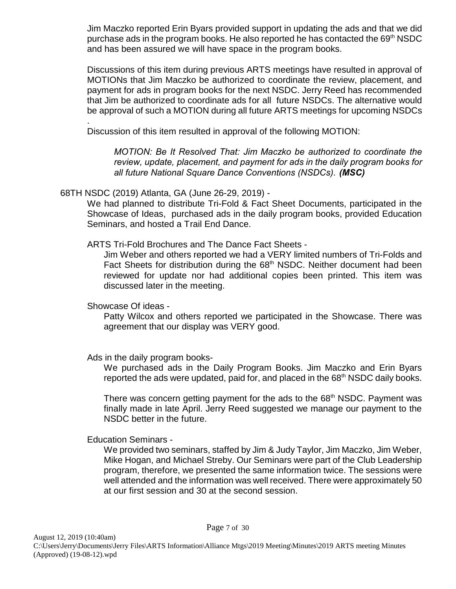Jim Maczko reported Erin Byars provided support in updating the ads and that we did purchase ads in the program books. He also reported he has contacted the  $69<sup>th</sup>$  NSDC and has been assured we will have space in the program books.

Discussions of this item during previous ARTS meetings have resulted in approval of MOTIONs that Jim Maczko be authorized to coordinate the review, placement, and payment for ads in program books for the next NSDC. Jerry Reed has recommended that Jim be authorized to coordinate ads for all future NSDCs. The alternative would be approval of such a MOTION during all future ARTS meetings for upcoming NSDCs

. Discussion of this item resulted in approval of the following MOTION:

*MOTION: Be It Resolved That: Jim Maczko be authorized to coordinate the review, update, placement, and payment for ads in the daily program books for all future National Square Dance Conventions (NSDCs). (MSC)*

68TH NSDC (2019) Atlanta, GA (June 26-29, 2019) -

We had planned to distribute Tri-Fold & Fact Sheet Documents, participated in the Showcase of Ideas, purchased ads in the daily program books, provided Education Seminars, and hosted a Trail End Dance.

ARTS Tri-Fold Brochures and The Dance Fact Sheets -

Jim Weber and others reported we had a VERY limited numbers of Tri-Folds and Fact Sheets for distribution during the 68<sup>th</sup> NSDC. Neither document had been reviewed for update nor had additional copies been printed. This item was discussed later in the meeting.

Showcase Of ideas -

Patty Wilcox and others reported we participated in the Showcase. There was agreement that our display was VERY good.

Ads in the daily program books-

We purchased ads in the Daily Program Books. Jim Maczko and Erin Byars reported the ads were updated, paid for, and placed in the 68<sup>th</sup> NSDC daily books.

There was concern getting payment for the ads to the 68<sup>th</sup> NSDC. Payment was finally made in late April. Jerry Reed suggested we manage our payment to the NSDC better in the future.

Education Seminars -

We provided two seminars, staffed by Jim & Judy Taylor, Jim Maczko, Jim Weber, Mike Hogan, and Michael Streby. Our Seminars were part of the Club Leadership program, therefore, we presented the same information twice. The sessions were well attended and the information was well received. There were approximately 50 at our first session and 30 at the second session.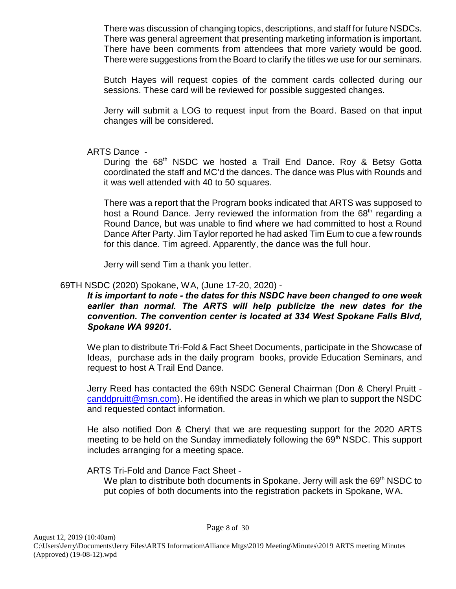There was discussion of changing topics, descriptions, and staff for future NSDCs. There was general agreement that presenting marketing information is important. There have been comments from attendees that more variety would be good. There were suggestions from the Board to clarify the titles we use for our seminars.

Butch Hayes will request copies of the comment cards collected during our sessions. These card will be reviewed for possible suggested changes.

Jerry will submit a LOG to request input from the Board. Based on that input changes will be considered.

#### ARTS Dance -

During the 68<sup>th</sup> NSDC we hosted a Trail End Dance. Roy & Betsy Gotta coordinated the staff and MC'd the dances. The dance was Plus with Rounds and it was well attended with 40 to 50 squares.

There was a report that the Program books indicated that ARTS was supposed to host a Round Dance. Jerry reviewed the information from the  $68<sup>th</sup>$  regarding a Round Dance, but was unable to find where we had committed to host a Round Dance After Party. Jim Taylor reported he had asked Tim Eum to cue a few rounds for this dance. Tim agreed. Apparently, the dance was the full hour.

Jerry will send Tim a thank you letter.

## 69TH NSDC (2020) Spokane, WA, (June 17-20, 2020) -

#### *It is important to note - the dates for this NSDC have been changed to one week earlier than normal. The ARTS will help publicize the new dates for the convention. The convention center is located at 334 West Spokane Falls Blvd, Spokane WA 99201.*

We plan to distribute Tri-Fold & Fact Sheet Documents, participate in the Showcase of Ideas, purchase ads in the daily program books, provide Education Seminars, and request to host A Trail End Dance.

Jerry Reed has contacted the 69th NSDC General Chairman (Don & Cheryl Pruitt [canddpruitt@msn.com](mailto:canddpruitt@msn.com)). He identified the areas in which we plan to support the NSDC and requested contact information.

He also notified Don & Cheryl that we are requesting support for the 2020 ARTS meeting to be held on the Sunday immediately following the 69<sup>th</sup> NSDC. This support includes arranging for a meeting space.

ARTS Tri-Fold and Dance Fact Sheet -

We plan to distribute both documents in Spokane. Jerry will ask the 69<sup>th</sup> NSDC to put copies of both documents into the registration packets in Spokane, WA.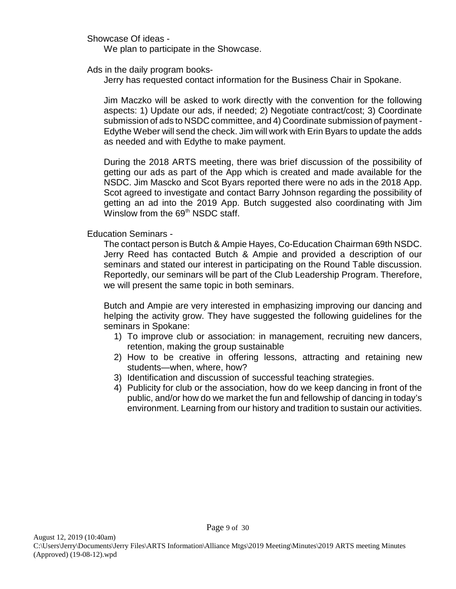Showcase Of ideas -

We plan to participate in the Showcase.

Ads in the daily program books-

Jerry has requested contact information for the Business Chair in Spokane.

Jim Maczko will be asked to work directly with the convention for the following aspects: 1) Update our ads, if needed; 2) Negotiate contract/cost; 3) Coordinate submission of ads to NSDC committee, and 4) Coordinate submission of payment - Edythe Weber will send the check. Jim will work with Erin Byars to update the adds as needed and with Edythe to make payment.

During the 2018 ARTS meeting, there was brief discussion of the possibility of getting our ads as part of the App which is created and made available for the NSDC. Jim Mascko and Scot Byars reported there were no ads in the 2018 App. Scot agreed to investigate and contact Barry Johnson regarding the possibility of getting an ad into the 2019 App. Butch suggested also coordinating with Jim Winslow from the 69<sup>th</sup> NSDC staff.

Education Seminars -

The contact person is Butch & Ampie Hayes, Co-Education Chairman 69th NSDC. Jerry Reed has contacted Butch & Ampie and provided a description of our seminars and stated our interest in participating on the Round Table discussion. Reportedly, our seminars will be part of the Club Leadership Program. Therefore, we will present the same topic in both seminars.

Butch and Ampie are very interested in emphasizing improving our dancing and helping the activity grow. They have suggested the following guidelines for the seminars in Spokane:

- 1) To improve club or association: in management, recruiting new dancers, retention, making the group sustainable
- 2) How to be creative in offering lessons, attracting and retaining new students—when, where, how?
- 3) Identification and discussion of successful teaching strategies.
- 4) Publicity for club or the association, how do we keep dancing in front of the public, and/or how do we market the fun and fellowship of dancing in today's environment. Learning from our history and tradition to sustain our activities.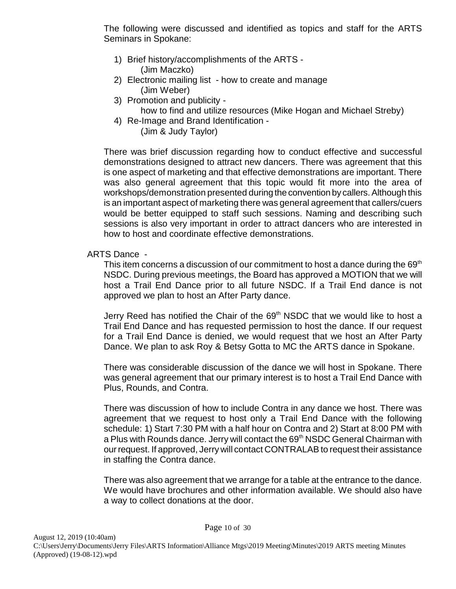The following were discussed and identified as topics and staff for the ARTS Seminars in Spokane:

- 1) Brief history/accomplishments of the ARTS (Jim Maczko)
- 2) Electronic mailing list how to create and manage (Jim Weber)
- 3) Promotion and publicity
	- how to find and utilize resources (Mike Hogan and Michael Streby)
- 4) Re-Image and Brand Identification (Jim & Judy Taylor)

There was brief discussion regarding how to conduct effective and successful demonstrations designed to attract new dancers. There was agreement that this is one aspect of marketing and that effective demonstrations are important. There was also general agreement that this topic would fit more into the area of workshops/demonstration presented during the convention by callers. Although this is an important aspect of marketing there was general agreement that callers/cuers would be better equipped to staff such sessions. Naming and describing such sessions is also very important in order to attract dancers who are interested in how to host and coordinate effective demonstrations.

## ARTS Dance -

This item concerns a discussion of our commitment to host a dance during the 69<sup>th</sup> NSDC. During previous meetings, the Board has approved a MOTION that we will host a Trail End Dance prior to all future NSDC. If a Trail End dance is not approved we plan to host an After Party dance.

Jerry Reed has notified the Chair of the  $69<sup>th</sup>$  NSDC that we would like to host a Trail End Dance and has requested permission to host the dance. If our request for a Trail End Dance is denied, we would request that we host an After Party Dance. We plan to ask Roy & Betsy Gotta to MC the ARTS dance in Spokane.

There was considerable discussion of the dance we will host in Spokane. There was general agreement that our primary interest is to host a Trail End Dance with Plus, Rounds, and Contra.

There was discussion of how to include Contra in any dance we host. There was agreement that we request to host only a Trail End Dance with the following schedule: 1) Start 7:30 PM with a half hour on Contra and 2) Start at 8:00 PM with a Plus with Rounds dance. Jerry will contact the 69<sup>th</sup> NSDC General Chairman with our request. If approved, Jerry will contact CONTRALAB to request their assistance in staffing the Contra dance.

There was also agreement that we arrange for a table at the entrance to the dance. We would have brochures and other information available. We should also have a way to collect donations at the door.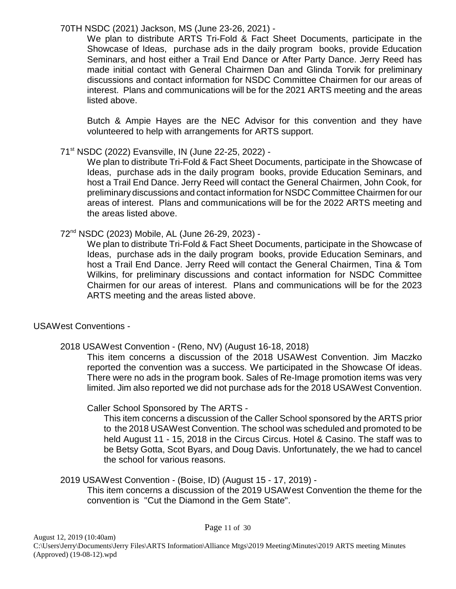70TH NSDC (2021) Jackson, MS (June 23-26, 2021) -

We plan to distribute ARTS Tri-Fold & Fact Sheet Documents, participate in the Showcase of Ideas, purchase ads in the daily program books, provide Education Seminars, and host either a Trail End Dance or After Party Dance. Jerry Reed has made initial contact with General Chairmen Dan and Glinda Torvik for preliminary discussions and contact information for NSDC Committee Chairmen for our areas of interest. Plans and communications will be for the 2021 ARTS meeting and the areas listed above.

Butch & Ampie Hayes are the NEC Advisor for this convention and they have volunteered to help with arrangements for ARTS support.

## 71st NSDC (2022) Evansville, IN (June 22-25, 2022) -

We plan to distribute Tri-Fold & Fact Sheet Documents, participate in the Showcase of Ideas, purchase ads in the daily program books, provide Education Seminars, and host a Trail End Dance. Jerry Reed will contact the General Chairmen, John Cook, for preliminary discussions and contact information for NSDC Committee Chairmen for our areas of interest. Plans and communications will be for the 2022 ARTS meeting and the areas listed above.

72nd NSDC (2023) Mobile, AL (June 26-29, 2023) -

We plan to distribute Tri-Fold & Fact Sheet Documents, participate in the Showcase of Ideas, purchase ads in the daily program books, provide Education Seminars, and host a Trail End Dance. Jerry Reed will contact the General Chairmen, Tina & Tom Wilkins, for preliminary discussions and contact information for NSDC Committee Chairmen for our areas of interest. Plans and communications will be for the 2023 ARTS meeting and the areas listed above.

## USAWest Conventions -

2018 USAWest Convention - (Reno, NV) (August 16-18, 2018)

This item concerns a discussion of the 2018 USAWest Convention. Jim Maczko reported the convention was a success. We participated in the Showcase Of ideas. There were no ads in the program book. Sales of Re-Image promotion items was very limited. Jim also reported we did not purchase ads for the 2018 USAWest Convention.

Caller School Sponsored by The ARTS -

This item concerns a discussion of the Caller School sponsored by the ARTS prior to the 2018 USAWest Convention. The school was scheduled and promoted to be held August 11 - 15, 2018 in the Circus Circus. Hotel & Casino. The staff was to be Betsy Gotta, Scot Byars, and Doug Davis. Unfortunately, the we had to cancel the school for various reasons.

## 2019 USAWest Convention - (Boise, ID) (August 15 - 17, 2019) -

This item concerns a discussion of the 2019 USAWest Convention the theme for the convention is "Cut the Diamond in the Gem State".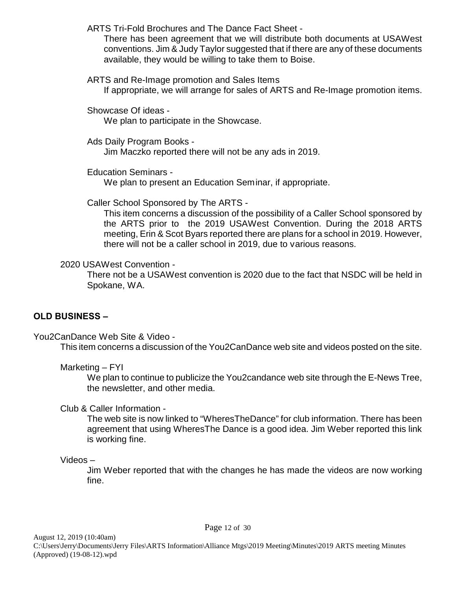ARTS Tri-Fold Brochures and The Dance Fact Sheet -

There has been agreement that we will distribute both documents at USAWest conventions. Jim & Judy Taylor suggested that if there are any of these documents available, they would be willing to take them to Boise.

#### ARTS and Re-Image promotion and Sales Items

If appropriate, we will arrange for sales of ARTS and Re-Image promotion items.

Showcase Of ideas -

We plan to participate in the Showcase.

Ads Daily Program Books -

Jim Maczko reported there will not be any ads in 2019.

Education Seminars -

We plan to present an Education Seminar, if appropriate.

Caller School Sponsored by The ARTS -

This item concerns a discussion of the possibility of a Caller School sponsored by the ARTS prior to the 2019 USAWest Convention. During the 2018 ARTS meeting, Erin & Scot Byars reported there are plans for a school in 2019. However, there will not be a caller school in 2019, due to various reasons.

## 2020 USAWest Convention -

There not be a USAWest convention is 2020 due to the fact that NSDC will be held in Spokane, WA.

## **OLD BUSINESS –**

You2CanDance Web Site & Video -

This item concerns a discussion of the You2CanDance web site and videos posted on the site.

Marketing – FYI

We plan to continue to publicize the You2candance web site through the E-News Tree, the newsletter, and other media.

## Club & Caller Information -

The web site is now linked to "WheresTheDance" for club information. There has been agreement that using WheresThe Dance is a good idea. Jim Weber reported this link is working fine.

Videos –

Jim Weber reported that with the changes he has made the videos are now working fine.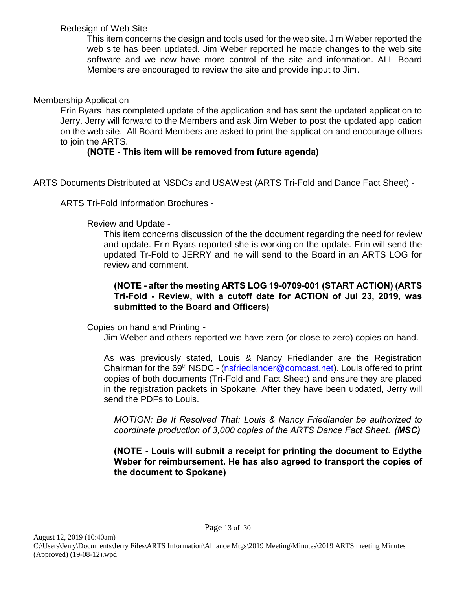Redesign of Web Site -

This item concerns the design and tools used for the web site. Jim Weber reported the web site has been updated. Jim Weber reported he made changes to the web site software and we now have more control of the site and information. ALL Board Members are encouraged to review the site and provide input to Jim.

## Membership Application -

Erin Byars has completed update of the application and has sent the updated application to Jerry. Jerry will forward to the Members and ask Jim Weber to post the updated application on the web site. All Board Members are asked to print the application and encourage others to join the ARTS.

## **(NOTE - This item will be removed from future agenda)**

ARTS Documents Distributed at NSDCs and USAWest (ARTS Tri-Fold and Dance Fact Sheet) -

ARTS Tri-Fold Information Brochures -

#### Review and Update -

This item concerns discussion of the the document regarding the need for review and update. Erin Byars reported she is working on the update. Erin will send the updated Tr-Fold to JERRY and he will send to the Board in an ARTS LOG for review and comment.

#### **(NOTE - after the meeting ARTS LOG 19-0709-001 (START ACTION) (ARTS Tri-Fold - Review, with a cutoff date for ACTION of Jul 23, 2019, was submitted to the Board and Officers)**

Copies on hand and Printing -

Jim Weber and others reported we have zero (or close to zero) copies on hand.

As was previously stated, Louis & Nancy Friedlander are the Registration Chairman for the  $69<sup>th</sup> NSDC - (nsfriedlander@concat.net)$ . Louis offered to print copies of both documents (Tri-Fold and Fact Sheet) and ensure they are placed in the registration packets in Spokane. After they have been updated, Jerry will send the PDFs to Louis.

*MOTION: Be It Resolved That: Louis & Nancy Friedlander be authorized to coordinate production of 3,000 copies of the ARTS Dance Fact Sheet. (MSC)*

**(NOTE - Louis will submit a receipt for printing the document to Edythe Weber for reimbursement. He has also agreed to transport the copies of the document to Spokane)**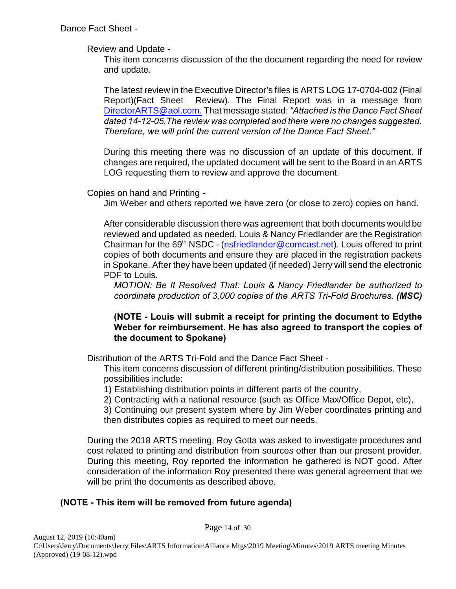Review and Update -

This item concerns discussion of the the document regarding the need for review and update.

The latest review in the Executive Director's files is ARTS LOG 17-0704-002 (Final Report)(Fact Sheet Review). The Final Report was in a message from [DirectorARTS@aol.com.](mailto:DirectorARTS@aol.com.) That message stated: *"Attached is the Dance Fact Sheet dated 14-12-05.The review was completed and there were no changes suggested. Therefore, we will print the current version of the Dance Fact Sheet."*

During this meeting there was no discussion of an update of this document. If changes are required, the updated document will be sent to the Board in an ARTS LOG requesting them to review and approve the document.

Copies on hand and Printing -

Jim Weber and others reported we have zero (or close to zero) copies on hand.

After considerable discussion there was agreement that both documents would be reviewed and updated as needed. Louis & Nancy Friedlander are the Registration Chairman for the  $69<sup>th</sup>$  NSDC - [\(nsfriedlander@comcast.net](mailto:nsfriedlander@comcast.net)). Louis offered to print copies of both documents and ensure they are placed in the registration packets in Spokane. After they have been updated (if needed) Jerry will send the electronic PDF to Louis.

*MOTION: Be It Resolved That: Louis & Nancy Friedlander be authorized to coordinate production of 3,000 copies of the ARTS Tri-Fold Brochures. (MSC)*

#### **(NOTE - Louis will submit a receipt for printing the document to Edythe Weber for reimbursement. He has also agreed to transport the copies of the document to Spokane)**

Distribution of the ARTS Tri-Fold and the Dance Fact Sheet -

This item concerns discussion of different printing/distribution possibilities. These possibilities include:

1) Establishing distribution points in different parts of the country,

2) Contracting with a national resource (such as Office Max/Office Depot, etc),

3) Continuing our present system where by Jim Weber coordinates printing and then distributes copies as required to meet our needs.

During the 2018 ARTS meeting, Roy Gotta was asked to investigate procedures and cost related to printing and distribution from sources other than our present provider. During this meeting, Roy reported the information he gathered is NOT good. After consideration of the information Roy presented there was general agreement that we will be print the documents as described above.

## **(NOTE - This item will be removed from future agenda)**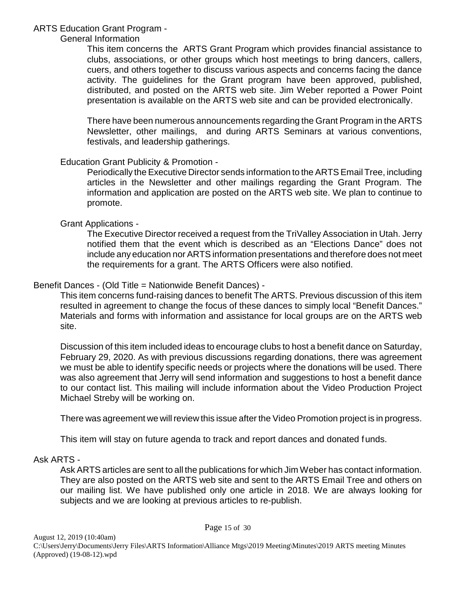## ARTS Education Grant Program -

#### General Information

This item concerns the ARTS Grant Program which provides financial assistance to clubs, associations, or other groups which host meetings to bring dancers, callers, cuers, and others together to discuss various aspects and concerns facing the dance activity. The guidelines for the Grant program have been approved, published, distributed, and posted on the ARTS web site. Jim Weber reported a Power Point presentation is available on the ARTS web site and can be provided electronically.

There have been numerous announcements regarding the Grant Program in the ARTS Newsletter, other mailings, and during ARTS Seminars at various conventions, festivals, and leadership gatherings.

#### Education Grant Publicity & Promotion -

Periodically the Executive Director sends information to the ARTS Email Tree, including articles in the Newsletter and other mailings regarding the Grant Program. The information and application are posted on the ARTS web site. We plan to continue to promote.

#### Grant Applications -

The Executive Director received a request from the TriValley Association in Utah. Jerry notified them that the event which is described as an "Elections Dance" does not include any education nor ARTS information presentations and therefore does not meet the requirements for a grant. The ARTS Officers were also notified.

## Benefit Dances - (Old Title = Nationwide Benefit Dances) -

This item concerns fund-raising dances to benefit The ARTS. Previous discussion of this item resulted in agreement to change the focus of these dances to simply local "Benefit Dances." Materials and forms with information and assistance for local groups are on the ARTS web site.

Discussion of this item included ideas to encourage clubs to host a benefit dance on Saturday, February 29, 2020. As with previous discussions regarding donations, there was agreement we must be able to identify specific needs or projects where the donations will be used. There was also agreement that Jerry will send information and suggestions to host a benefit dance to our contact list. This mailing will include information about the Video Production Project Michael Streby will be working on.

There was agreement we will review this issue after the Video Promotion project is in progress.

This item will stay on future agenda to track and report dances and donated funds.

#### Ask ARTS -

Ask ARTS articles are sent to all the publications for which Jim Weber has contact information. They are also posted on the ARTS web site and sent to the ARTS Email Tree and others on our mailing list. We have published only one article in 2018. We are always looking for subjects and we are looking at previous articles to re-publish.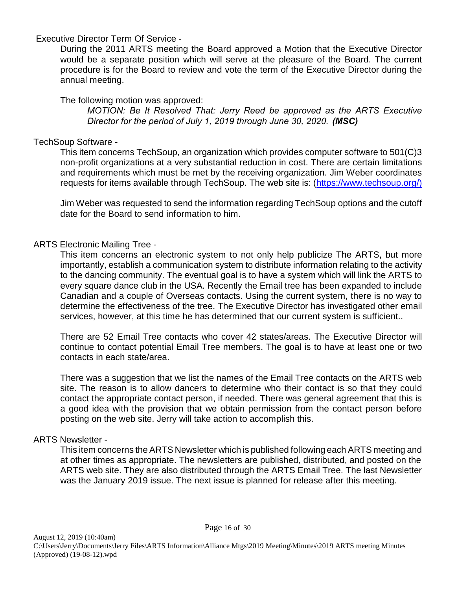#### Executive Director Term Of Service -

During the 2011 ARTS meeting the Board approved a Motion that the Executive Director would be a separate position which will serve at the pleasure of the Board. The current procedure is for the Board to review and vote the term of the Executive Director during the annual meeting.

## The following motion was approved:

*MOTION: Be It Resolved That: Jerry Reed be approved as the ARTS Executive Director for the period of July 1, 2019 through June 30, 2020. (MSC)*

## TechSoup Software -

This item concerns TechSoup, an organization which provides computer software to 501(C)3 non-profit organizations at a very substantial reduction in cost. There are certain limitations and requirements which must be met by the receiving organization. Jim Weber coordinates requests for items available through TechSoup. The web site is: [\(https://www.techsoup.org/\)]((https://www.techsoup.org/))

Jim Weber was requested to send the information regarding TechSoup options and the cutoff date for the Board to send information to him.

## ARTS Electronic Mailing Tree -

This item concerns an electronic system to not only help publicize The ARTS, but more importantly, establish a communication system to distribute information relating to the activity to the dancing community. The eventual goal is to have a system which will link the ARTS to every square dance club in the USA. Recently the Email tree has been expanded to include Canadian and a couple of Overseas contacts. Using the current system, there is no way to determine the effectiveness of the tree. The Executive Director has investigated other email services, however, at this time he has determined that our current system is sufficient..

There are 52 Email Tree contacts who cover 42 states/areas. The Executive Director will continue to contact potential Email Tree members. The goal is to have at least one or two contacts in each state/area.

There was a suggestion that we list the names of the Email Tree contacts on the ARTS web site. The reason is to allow dancers to determine who their contact is so that they could contact the appropriate contact person, if needed. There was general agreement that this is a good idea with the provision that we obtain permission from the contact person before posting on the web site. Jerry will take action to accomplish this.

## ARTS Newsletter -

This item concerns the ARTS Newsletter which is published following each ARTS meeting and at other times as appropriate. The newsletters are published, distributed, and posted on the ARTS web site. They are also distributed through the ARTS Email Tree. The last Newsletter was the January 2019 issue. The next issue is planned for release after this meeting.

Page 16 of 30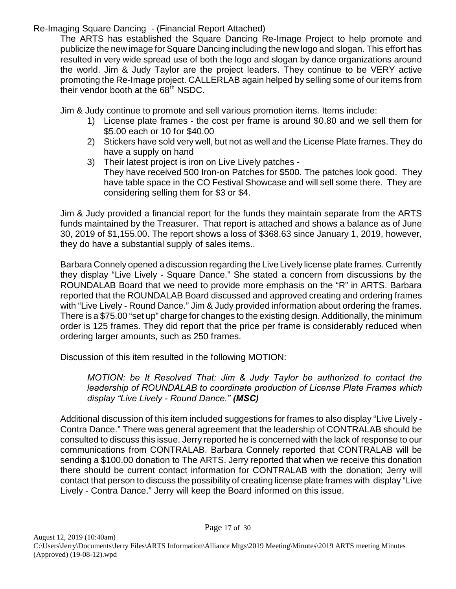Re-Imaging Square Dancing - (Financial Report Attached)

The ARTS has established the Square Dancing Re-Image Project to help promote and publicize the new image for Square Dancing including the new logo and slogan. This effort has resulted in very wide spread use of both the logo and slogan by dance organizations around the world. Jim & Judy Taylor are the project leaders. They continue to be VERY active promoting the Re-Image project. CALLERLAB again helped by selling some of our items from their vendor booth at the  $68<sup>th</sup>$  NSDC.

Jim & Judy continue to promote and sell various promotion items. Items include:

- 1) License plate frames the cost per frame is around \$0.80 and we sell them for \$5.00 each or 10 for \$40.00
- 2) Stickers have sold very well, but not as well and the License Plate frames. They do have a supply on hand
- 3) Their latest project is iron on Live Lively patches They have received 500 Iron-on Patches for \$500. The patches look good. They have table space in the CO Festival Showcase and will sell some there. They are considering selling them for \$3 or \$4.

Jim & Judy provided a financial report for the funds they maintain separate from the ARTS funds maintained by the Treasurer. That report is attached and shows a balance as of June 30, 2019 of \$1,155.00. The report shows a loss of \$368.63 since January 1, 2019, however, they do have a substantial supply of sales items..

Barbara Connely opened a discussion regarding the Live Lively license plate frames. Currently they display "Live Lively - Square Dance." She stated a concern from discussions by the ROUNDALAB Board that we need to provide more emphasis on the "R" in ARTS. Barbara reported that the ROUNDALAB Board discussed and approved creating and ordering frames with "Live Lively - Round Dance." Jim & Judy provided information about ordering the frames. There is a \$75.00 "set up" charge for changes to the existing design. Additionally, the minimum order is 125 frames. They did report that the price per frame is considerably reduced when ordering larger amounts, such as 250 frames.

Discussion of this item resulted in the following MOTION:

*MOTION: be It Resolved That: Jim & Judy Taylor be authorized to contact the leadership of ROUNDALAB to coordinate production of License Plate Frames which display "Live Lively - Round Dance." (MSC)* 

Additional discussion of this item included suggestions for frames to also display "Live Lively - Contra Dance." There was general agreement that the leadership of CONTRALAB should be consulted to discuss this issue. Jerry reported he is concerned with the lack of response to our communications from CONTRALAB. Barbara Connely reported that CONTRALAB will be sending a \$100.00 donation to The ARTS. Jerry reported that when we receive this donation there should be current contact information for CONTRALAB with the donation; Jerry will contact that person to discuss the possibility of creating license plate frames with display "Live Lively - Contra Dance." Jerry will keep the Board informed on this issue.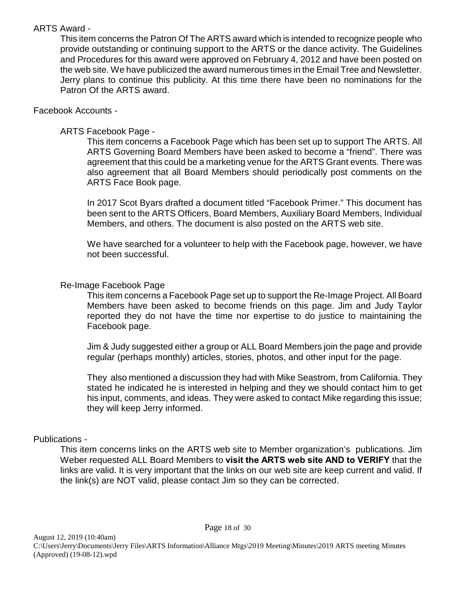## ARTS Award -

This item concerns the Patron Of The ARTS award which is intended to recognize people who provide outstanding or continuing support to the ARTS or the dance activity. The Guidelines and Procedures for this award were approved on February 4, 2012 and have been posted on the web site. We have publicized the award numerous times in the Email Tree and Newsletter. Jerry plans to continue this publicity. At this time there have been no nominations for the Patron Of the ARTS award.

#### Facebook Accounts -

#### ARTS Facebook Page -

This item concerns a Facebook Page which has been set up to support The ARTS. All ARTS Governing Board Members have been asked to become a "friend". There was agreement that this could be a marketing venue for the ARTS Grant events. There was also agreement that all Board Members should periodically post comments on the ARTS Face Book page.

In 2017 Scot Byars drafted a document titled "Facebook Primer." This document has been sent to the ARTS Officers, Board Members, Auxiliary Board Members, Individual Members, and others. The document is also posted on the ARTS web site.

We have searched for a volunteer to help with the Facebook page, however, we have not been successful.

#### Re-Image Facebook Page

This item concerns a Facebook Page set up to support the Re-Image Project. All Board Members have been asked to become friends on this page. Jim and Judy Taylor reported they do not have the time nor expertise to do justice to maintaining the Facebook page.

Jim & Judy suggested either a group or ALL Board Members join the page and provide regular (perhaps monthly) articles, stories, photos, and other input for the page.

They also mentioned a discussion they had with Mike Seastrom, from California. They stated he indicated he is interested in helping and they we should contact him to get his input, comments, and ideas. They were asked to contact Mike regarding this issue; they will keep Jerry informed.

## Publications -

This item concerns links on the ARTS web site to Member organization's publications. Jim Weber requested ALL Board Members to **visit the ARTS web site AND to VERIFY** that the links are valid. It is very important that the links on our web site are keep current and valid. If the link(s) are NOT valid, please contact Jim so they can be corrected.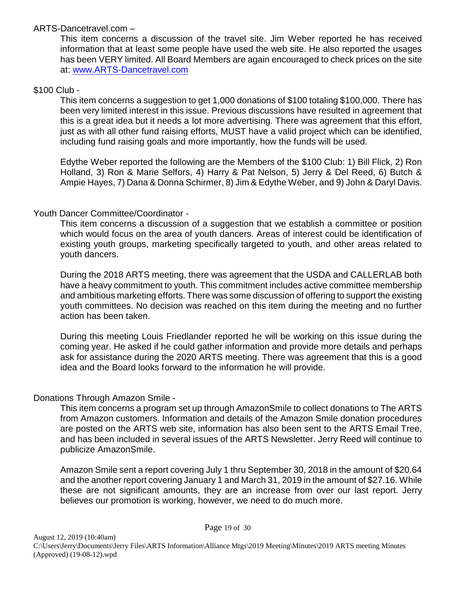## ARTS-Dancetravel.com –

This item concerns a discussion of the travel site. Jim Weber reported he has received information that at least some people have used the web site. He also reported the usages has been VERY limited. All Board Members are again encouraged to check prices on the site at: [www.ARTS-Dancetravel.com](http://www.ARTS-Dancetravel.com)

## \$100 Club -

This item concerns a suggestion to get 1,000 donations of \$100 totaling \$100,000. There has been very limited interest in this issue. Previous discussions have resulted in agreement that this is a great idea but it needs a lot more advertising. There was agreement that this effort, just as with all other fund raising efforts, MUST have a valid project which can be identified, including fund raising goals and more importantly, how the funds will be used.

Edythe Weber reported the following are the Members of the \$100 Club: 1) Bill Flick, 2) Ron Holland, 3) Ron & Marie Selfors, 4) Harry & Pat Nelson, 5) Jerry & Del Reed, 6) Butch & Ampie Hayes, 7) Dana & Donna Schirmer, 8) Jim & Edythe Weber, and 9) John & Daryl Davis.

## Youth Dancer Committee/Coordinator -

This item concerns a discussion of a suggestion that we establish a committee or position which would focus on the area of youth dancers. Areas of interest could be identification of existing youth groups, marketing specifically targeted to youth, and other areas related to youth dancers.

During the 2018 ARTS meeting, there was agreement that the USDA and CALLERLAB both have a heavy commitment to youth. This commitment includes active committee membership and ambitious marketing efforts. There was some discussion of offering to support the existing youth committees. No decision was reached on this item during the meeting and no further action has been taken.

During this meeting Louis Friedlander reported he will be working on this issue during the coming year. He asked if he could gather information and provide more details and perhaps ask for assistance during the 2020 ARTS meeting. There was agreement that this is a good idea and the Board looks forward to the information he will provide.

## Donations Through Amazon Smile -

This item concerns a program set up through AmazonSmile to collect donations to The ARTS from Amazon customers. Information and details of the Amazon Smile donation procedures are posted on the ARTS web site, information has also been sent to the ARTS Email Tree, and has been included in several issues of the ARTS Newsletter. Jerry Reed will continue to publicize AmazonSmile.

Amazon Smile sent a report covering July 1 thru September 30, 2018 in the amount of \$20.64 and the another report covering January 1 and March 31, 2019 in the amount of \$27.16. While these are not significant amounts, they are an increase from over our last report. Jerry believes our promotion is working, however, we need to do much more.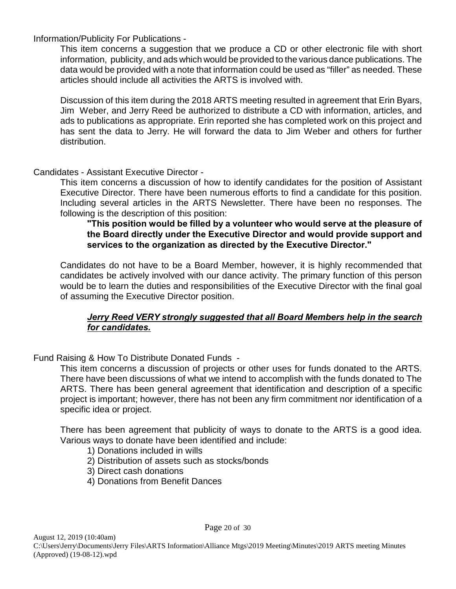Information/Publicity For Publications -

This item concerns a suggestion that we produce a CD or other electronic file with short information, publicity, and ads which would be provided to the various dance publications. The data would be provided with a note that information could be used as "filler" as needed. These articles should include all activities the ARTS is involved with.

Discussion of this item during the 2018 ARTS meeting resulted in agreement that Erin Byars, Jim Weber, and Jerry Reed be authorized to distribute a CD with information, articles, and ads to publications as appropriate. Erin reported she has completed work on this project and has sent the data to Jerry. He will forward the data to Jim Weber and others for further distribution.

Candidates - Assistant Executive Director -

This item concerns a discussion of how to identify candidates for the position of Assistant Executive Director. There have been numerous efforts to find a candidate for this position. Including several articles in the ARTS Newsletter. There have been no responses. The following is the description of this position:

#### **"This position would be filled by a volunteer who would serve at the pleasure of the Board directly under the Executive Director and would provide support and services to the organization as directed by the Executive Director."**

Candidates do not have to be a Board Member, however, it is highly recommended that candidates be actively involved with our dance activity. The primary function of this person would be to learn the duties and responsibilities of the Executive Director with the final goal of assuming the Executive Director position.

## *Jerry Reed VERY strongly suggested that all Board Members help in the search for candidates.*

Fund Raising & How To Distribute Donated Funds -

This item concerns a discussion of projects or other uses for funds donated to the ARTS. There have been discussions of what we intend to accomplish with the funds donated to The ARTS. There has been general agreement that identification and description of a specific project is important; however, there has not been any firm commitment nor identification of a specific idea or project.

There has been agreement that publicity of ways to donate to the ARTS is a good idea. Various ways to donate have been identified and include:

- 1) Donations included in wills
- 2) Distribution of assets such as stocks/bonds
- 3) Direct cash donations
- 4) Donations from Benefit Dances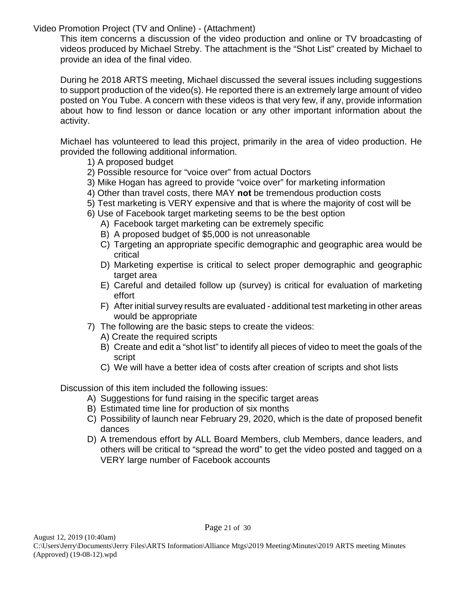Video Promotion Project (TV and Online) - (Attachment)

This item concerns a discussion of the video production and online or TV broadcasting of videos produced by Michael Streby. The attachment is the "Shot List" created by Michael to provide an idea of the final video.

 During he 2018 ARTS meeting, Michael discussed the several issues including suggestions to support production of the video(s). He reported there is an extremely large amount of video posted on You Tube. A concern with these videos is that very few, if any, provide information about how to find lesson or dance location or any other important information about the activity.

Michael has volunteered to lead this project, primarily in the area of video production. He provided the following additional information.

- 1) A proposed budget
- 2) Possible resource for "voice over" from actual Doctors
- 3) Mike Hogan has agreed to provide "voice over" for marketing information
- 4) Other than travel costs, there MAY **not** be tremendous production costs
- 5) Test marketing is VERY expensive and that is where the majority of cost will be
- 6) Use of Facebook target marketing seems to be the best option
	- A) Facebook target marketing can be extremely specific
	- B) A proposed budget of \$5,000 is not unreasonable
	- C) Targeting an appropriate specific demographic and geographic area would be critical
	- D) Marketing expertise is critical to select proper demographic and geographic target area
	- E) Careful and detailed follow up (survey) is critical for evaluation of marketing effort
	- F) After initial survey results are evaluated additional test marketing in other areas would be appropriate
- 7) The following are the basic steps to create the videos:
	- A) Create the required scripts
	- B) Create and edit a "shot list" to identify all pieces of video to meet the goals of the script
	- C) We will have a better idea of costs after creation of scripts and shot lists

Discussion of this item included the following issues:

- A) Suggestions for fund raising in the specific target areas
- B) Estimated time line for production of six months
- C) Possibility of launch near February 29, 2020, which is the date of proposed benefit dances
- D) A tremendous effort by ALL Board Members, club Members, dance leaders, and others will be critical to "spread the word" to get the video posted and tagged on a VERY large number of Facebook accounts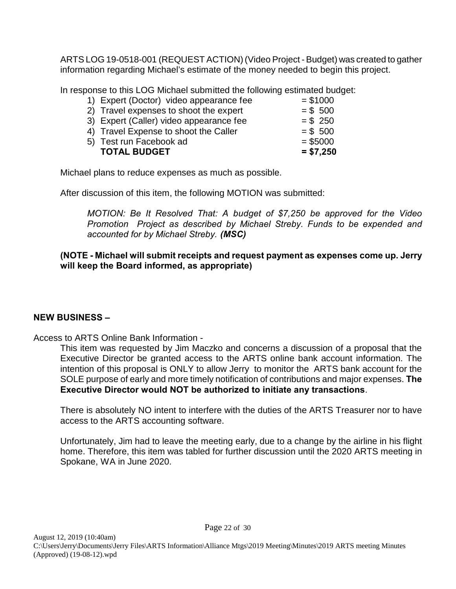ARTS LOG 19-0518-001 (REQUEST ACTION) (Video Project - Budget) was created to gather information regarding Michael's estimate of the money needed to begin this project.

In response to this LOG Michael submitted the following estimated budget:

| 1) Expert (Doctor) video appearance fee | $= $1000$  |
|-----------------------------------------|------------|
| 2) Travel expenses to shoot the expert  | $= $ 500$  |
| 3) Expert (Caller) video appearance fee | $= $250$   |
| 4) Travel Expense to shoot the Caller   | $= $ 500$  |
| 5) Test run Facebook ad                 | $= $5000$  |
| <b>TOTAL BUDGET</b>                     | $= $7,250$ |

Michael plans to reduce expenses as much as possible.

After discussion of this item, the following MOTION was submitted:

*MOTION: Be It Resolved That: A budget of \$7,250 be approved for the Video Promotion Project as described by Michael Streby. Funds to be expended and accounted for by Michael Streby. (MSC)*

#### **(NOTE - Michael will submit receipts and request payment as expenses come up. Jerry will keep the Board informed, as appropriate)**

## **NEW BUSINESS –**

Access to ARTS Online Bank Information -

This item was requested by Jim Maczko and concerns a discussion of a proposal that the Executive Director be granted access to the ARTS online bank account information. The intention of this proposal is ONLY to allow Jerry to monitor the ARTS bank account for the SOLE purpose of early and more timely notification of contributions and major expenses. **The Executive Director would NOT be authorized to initiate any transactions**.

There is absolutely NO intent to interfere with the duties of the ARTS Treasurer nor to have access to the ARTS accounting software.

Unfortunately, Jim had to leave the meeting early, due to a change by the airline in his flight home. Therefore, this item was tabled for further discussion until the 2020 ARTS meeting in Spokane, WA in June 2020.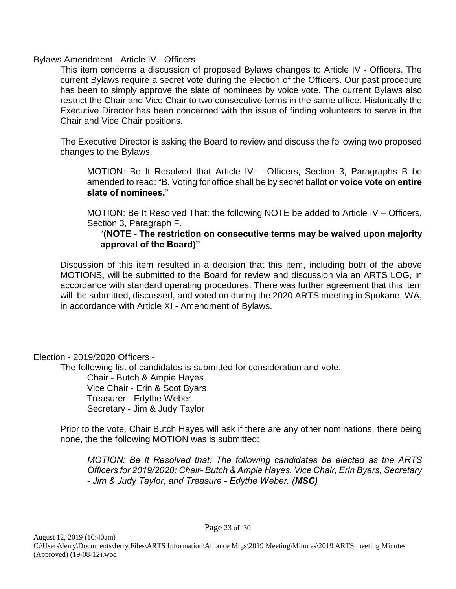Bylaws Amendment - Article IV - Officers

This item concerns a discussion of proposed Bylaws changes to Article IV - Officers. The current Bylaws require a secret vote during the election of the Officers. Our past procedure has been to simply approve the slate of nominees by voice vote. The current Bylaws also restrict the Chair and Vice Chair to two consecutive terms in the same office. Historically the Executive Director has been concerned with the issue of finding volunteers to serve in the Chair and Vice Chair positions.

The Executive Director is asking the Board to review and discuss the following two proposed changes to the Bylaws.

MOTION: Be It Resolved that Article IV – Officers, Section 3, Paragraphs B be amended to read: "B. Voting for office shall be by secret ballot **or voice vote on entire slate of nominees.**"

MOTION: Be It Resolved That: the following NOTE be added to Article IV – Officers, Section 3, Paragraph F.

#### "**(NOTE - The restriction on consecutive terms may be waived upon majority approval of the Board)"**

Discussion of this item resulted in a decision that this item, including both of the above MOTIONS, will be submitted to the Board for review and discussion via an ARTS LOG, in accordance with standard operating procedures. There was further agreement that this item will be submitted, discussed, and voted on during the 2020 ARTS meeting in Spokane, WA, in accordance with Article XI - Amendment of Bylaws.

Election - 2019/2020 Officers -

The following list of candidates is submitted for consideration and vote.

Chair - Butch & Ampie Hayes Vice Chair - Erin & Scot Byars Treasurer - Edythe Weber Secretary - Jim & Judy Taylor

Prior to the vote, Chair Butch Hayes will ask if there are any other nominations, there being none, the the following MOTION was is submitted:

*MOTION: Be It Resolved that: The following candidates be elected as the ARTS Officers for 2019/2020: Chair- Butch & Ampie Hayes, Vice Chair, Erin Byars, Secretary - Jim & Judy Taylor, and Treasure - Edythe Weber. (MSC)*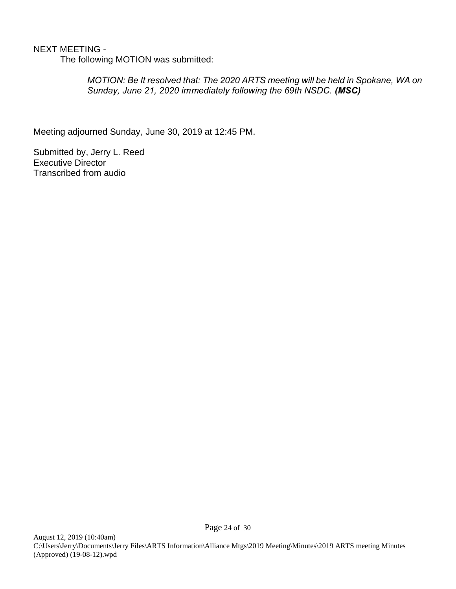## NEXT MEETING -

The following MOTION was submitted:

*MOTION: Be It resolved that: The 2020 ARTS meeting will be held in Spokane, WA on Sunday, June 21, 2020 immediately following the 69th NSDC. (MSC)*

Meeting adjourned Sunday, June 30, 2019 at 12:45 PM.

Submitted by, Jerry L. Reed Executive Director Transcribed from audio

Page 24 of 30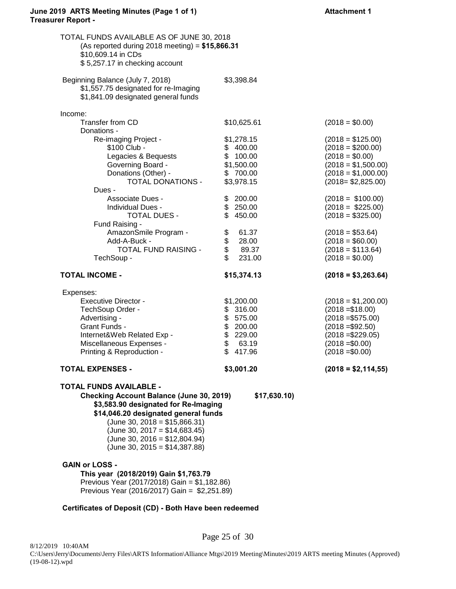#### June 2019 ARTS Meeting Minutes (Page 1 of 1) **Attachment 1 Treasurer Report -**

| TOTAL FUNDS AVAILABLE AS OF JUNE 30, 2018<br>(As reported during 2018 meeting) = $$15,866.31$<br>\$10,609.14 in CDs<br>\$5,257.17 in checking account |                                    |                                         |
|-------------------------------------------------------------------------------------------------------------------------------------------------------|------------------------------------|-----------------------------------------|
| Beginning Balance (July 7, 2018)<br>\$1,557.75 designated for re-Imaging<br>\$1,841.09 designated general funds                                       | \$3,398.84                         |                                         |
| Income:                                                                                                                                               |                                    |                                         |
| Transfer from CD                                                                                                                                      | \$10,625.61                        | $(2018 = $0.00)$                        |
| Donations -                                                                                                                                           |                                    |                                         |
| Re-imaging Project -                                                                                                                                  | \$1,278.15                         | $(2018 = $125.00)$                      |
| \$100 Club -<br>Legacies & Bequests                                                                                                                   | \$400.00<br>\$100.00               | $(2018 = $200.00)$<br>$(2018 = $0.00)$  |
| Governing Board -                                                                                                                                     | \$1,500.00                         | $(2018 = $1,500.00)$                    |
| Donations (Other) -                                                                                                                                   | \$700.00                           | $(2018 = $1,000.00)$                    |
| TOTAL DONATIONS -                                                                                                                                     | \$3,978.15                         | $(2018 = $2,825.00)$                    |
| Dues -                                                                                                                                                |                                    |                                         |
| Associate Dues -                                                                                                                                      | \$200.00                           | $(2018 = $100.00)$                      |
| Individual Dues -                                                                                                                                     | \$250.00                           | $(2018 - $225.00)$                      |
| TOTAL DUES -                                                                                                                                          | \$450.00                           | $(2018 = $325.00)$                      |
| Fund Raising -                                                                                                                                        |                                    |                                         |
| AmazonSmile Program -                                                                                                                                 | \$<br>61.37                        | $(2018 = $53.64)$                       |
| Add-A-Buck -<br><b>TOTAL FUND RAISING -</b>                                                                                                           | \$<br>\$<br>28.00<br>89.37         | $(2018 = $60.00)$<br>$(2018 = $113.64)$ |
| TechSoup -                                                                                                                                            | \$<br>231.00                       | $(2018 = $0.00)$                        |
| <b>TOTAL INCOME -</b>                                                                                                                                 | \$15,374.13                        | $(2018 = $3,263.64)$                    |
|                                                                                                                                                       |                                    |                                         |
| Expenses:                                                                                                                                             |                                    |                                         |
| <b>Executive Director -</b>                                                                                                                           | \$1,200.00                         | $(2018 = $1,200.00)$                    |
| TechSoup Order -<br>Advertising -                                                                                                                     | \$316.00<br>\$575.00               | $(2018 = $18.00)$<br>$(2018 = $575.00)$ |
| Grant Funds -                                                                                                                                         |                                    | $(2018 = $92.50)$                       |
| Internet&Web Related Exp -                                                                                                                            | $$200.00$<br>$$229.00$<br>$$63.19$ | $(2018 = $229.05)$                      |
| Miscellaneous Expenses -                                                                                                                              |                                    | $(2018 = $0.00)$                        |
| Printing & Reproduction -                                                                                                                             | \$<br>417.96                       | $(2018 = $0.00)$                        |
| <b>TOTAL EXPENSES -</b>                                                                                                                               | \$3,001.20                         | $(2018 = $2,114,55)$                    |
|                                                                                                                                                       |                                    |                                         |
| <b>TOTAL FUNDS AVAILABLE -</b>                                                                                                                        |                                    |                                         |
| <b>Checking Account Balance (June 30, 2019)</b>                                                                                                       | \$17,630.10                        |                                         |
| \$3,583.90 designated for Re-Imaging<br>\$14,046.20 designated general funds                                                                          |                                    |                                         |
| $(June 30, 2018 = $15,866.31)$                                                                                                                        |                                    |                                         |
| $(June 30, 2017 = $14,683.45)$                                                                                                                        |                                    |                                         |
| $(June 30, 2016 = $12,804.94)$                                                                                                                        |                                    |                                         |
| $(June 30, 2015 = $14,387.88)$                                                                                                                        |                                    |                                         |
|                                                                                                                                                       |                                    |                                         |
| <b>GAIN or LOSS -</b>                                                                                                                                 |                                    |                                         |
| This year (2018/2019) Gain \$1,763.79<br>Previous Year (2017/2018) Gain = \$1,182.86)                                                                 |                                    |                                         |

#### **Certificates of Deposit (CD) - Both Have been redeemed**

Page 25 of 30 8/12/2019 10:40AM C:\Users\Jerry\Documents\Jerry Files\ARTS Information\Alliance Mtgs\2019 Meeting\Minutes\2019 ARTS meeting Minutes (Approved) (19-08-12).wpd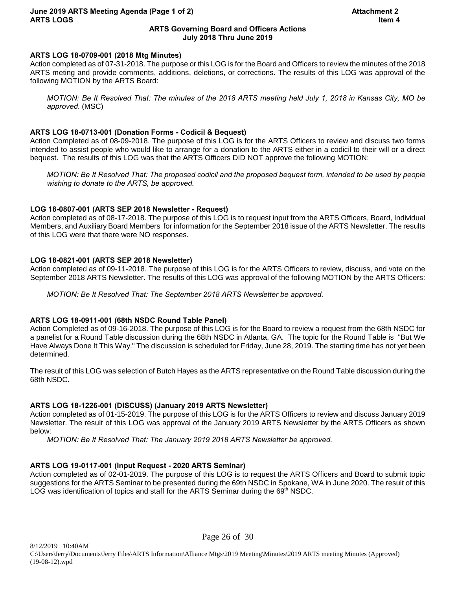#### **June 2019 ARTS Meeting Agenda (Page 1 of 2) Attachment 2 ARTS LOGS Item 4**

#### **ARTS Governing Board and Officers Actions July 2018 Thru June 2019**

#### **ARTS LOG 18-0709-001 (2018 Mtg Minutes)**

Action completed as of 07-31-2018. The purpose or this LOG is for the Board and Officers to review the minutes of the 2018 ARTS meting and provide comments, additions, deletions, or corrections. The results of this LOG was approval of the following MOTION by the ARTS Board:

*MOTION: Be It Resolved That: The minutes of the 2018 ARTS meeting held July 1, 2018 in Kansas City, MO be approved*. (MSC)

#### **ARTS LOG 18-0713-001 (Donation Forms - Codicil & Bequest)**

Action Completed as of 08-09-2018. The purpose of this LOG is for the ARTS Officers to review and discuss two forms intended to assist people who would like to arrange for a donation to the ARTS either in a codicil to their will or a direct bequest. The results of this LOG was that the ARTS Officers DID NOT approve the following MOTION:

*MOTION: Be It Resolved That: The proposed codicil and the proposed bequest form, intended to be used by people wishing to donate to the ARTS, be approved.*

#### **LOG 18-0807-001 (ARTS SEP 2018 Newsletter - Request)**

Action completed as of 08-17-2018. The purpose of this LOG is to request input from the ARTS Officers, Board, Individual Members, and Auxiliary Board Members for information for the September 2018 issue of the ARTS Newsletter. The results of this LOG were that there were NO responses.

#### **LOG 18-0821-001 (ARTS SEP 2018 Newsletter)**

Action completed as of 09-11-2018. The purpose of this LOG is for the ARTS Officers to review, discuss, and vote on the September 2018 ARTS Newsletter. The results of this LOG was approval of the following MOTION by the ARTS Officers:

*MOTION: Be It Resolved That: The September 2018 ARTS Newsletter be approved.*

#### **ARTS LOG 18-0911-001 (68th NSDC Round Table Panel)**

Action Completed as of 09-16-2018. The purpose of this LOG is for the Board to review a request from the 68th NSDC for a panelist for a Round Table discussion during the 68th NSDC in Atlanta, GA. The topic for the Round Table is "But We Have Always Done It This Way." The discussion is scheduled for Friday, June 28, 2019. The starting time has not yet been determined.

The result of this LOG was selection of Butch Hayes as the ARTS representative on the Round Table discussion during the 68th NSDC.

#### **ARTS LOG 18-1226-001 (DISCUSS) (January 2019 ARTS Newsletter)**

Action completed as of 01-15-2019. The purpose of this LOG is for the ARTS Officers to review and discuss January 2019 Newsletter. The result of this LOG was approval of the January 2019 ARTS Newsletter by the ARTS Officers as shown below:

*MOTION: Be It Resolved That: The January 2019 2018 ARTS Newsletter be approved.*

#### **ARTS LOG 19-0117-001 (Input Request - 2020 ARTS Seminar)**

Action completed as of 02-01-2019. The purpose of this LOG is to request the ARTS Officers and Board to submit topic suggestions for the ARTS Seminar to be presented during the 69th NSDC in Spokane, WA in June 2020. The result of this LOG was identification of topics and staff for the ARTS Seminar during the  $69<sup>th</sup>$  NSDC.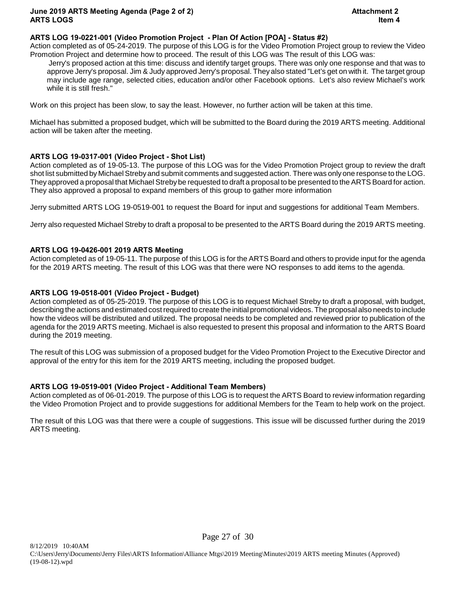#### **ARTS LOG 19-0221-001 (Video Promotion Project - Plan Of Action [POA] - Status #2)**

Action completed as of 05-24-2019. The purpose of this LOG is for the Video Promotion Project group to review the Video Promotion Project and determine how to proceed. The result of this LOG was The result of this LOG was:

 Jerry's proposed action at this time: discuss and identify target groups. There was only one response and that was to approve Jerry's proposal. Jim & Judy approved Jerry's proposal. They also stated "Let's get on with it. The target group may include age range, selected cities, education and/or other Facebook options. Let's also review Michael's work while it is still fresh."

Work on this project has been slow, to say the least. However, no further action will be taken at this time.

Michael has submitted a proposed budget, which will be submitted to the Board during the 2019 ARTS meeting. Additional action will be taken after the meeting.

#### **ARTS LOG 19-0317-001 (Video Project - Shot List)**

Action completed as of 19-05-13. The purpose of this LOG was for the Video Promotion Project group to review the draft shot list submitted by Michael Streby and submit comments and suggested action. There was only one response to the LOG. They approved a proposal that Michael Streby be requested to draft a proposal to be presented to the ARTS Board for action. They also approved a proposal to expand members of this group to gather more information

Jerry submitted ARTS LOG 19-0519-001 to request the Board for input and suggestions for additional Team Members.

Jerry also requested Michael Streby to draft a proposal to be presented to the ARTS Board during the 2019 ARTS meeting.

#### **ARTS LOG 19-0426-001 2019 ARTS Meeting**

Action completed as of 19-05-11. The purpose of this LOG is for the ARTS Board and others to provide input for the agenda for the 2019 ARTS meeting. The result of this LOG was that there were NO responses to add items to the agenda.

#### **ARTS LOG 19-0518-001 (Video Project - Budget)**

Action completed as of 05-25-2019. The purpose of this LOG is to request Michael Streby to draft a proposal, with budget, describing the actions and estimated cost required to create the initial promotional videos. The proposal also needs to include how the videos will be distributed and utilized. The proposal needs to be completed and reviewed prior to publication of the agenda for the 2019 ARTS meeting. Michael is also requested to present this proposal and information to the ARTS Board during the 2019 meeting.

The result of this LOG was submission of a proposed budget for the Video Promotion Project to the Executive Director and approval of the entry for this item for the 2019 ARTS meeting, including the proposed budget.

#### **ARTS LOG 19-0519-001 (Video Project - Additional Team Members)**

Action completed as of 06-01-2019. The purpose of this LOG is to request the ARTS Board to review information regarding the Video Promotion Project and to provide suggestions for additional Members for the Team to help work on the project.

The result of this LOG was that there were a couple of suggestions. This issue will be discussed further during the 2019 ARTS meeting.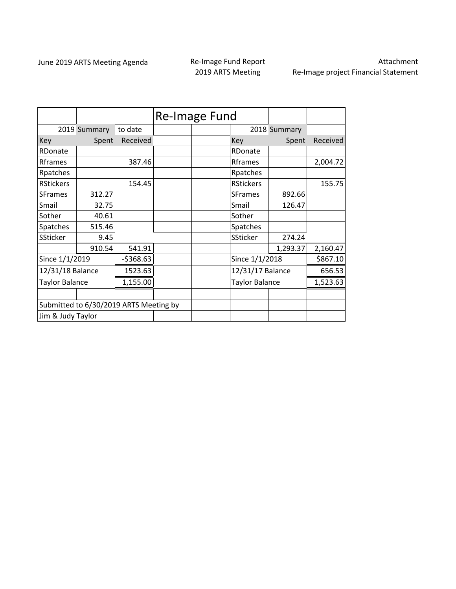## 2019 ARTS Meeting

Attachment Re‐Image project Financial Statement

|                                        |              |            | Re-Image Fund |                       |              |          |
|----------------------------------------|--------------|------------|---------------|-----------------------|--------------|----------|
|                                        | 2019 Summary | to date    |               |                       | 2018 Summary |          |
| Key                                    | Spent        | Received   |               | Key                   | Spent        | Received |
| RDonate                                |              |            |               | RDonate               |              |          |
| Rframes                                |              | 387.46     |               | Rframes               |              | 2,004.72 |
| Rpatches                               |              |            |               | Rpatches              |              |          |
| <b>RStickers</b>                       |              | 154.45     |               | <b>RStickers</b>      |              | 155.75   |
| <b>SFrames</b>                         | 312.27       |            |               | <b>SFrames</b>        | 892.66       |          |
| Smail                                  | 32.75        |            |               | Smail                 | 126.47       |          |
| Sother                                 | 40.61        |            |               | Sother                |              |          |
| Spatches                               | 515.46       |            |               | Spatches              |              |          |
| <b>SSticker</b>                        | 9.45         |            |               | <b>SSticker</b>       | 274.24       |          |
|                                        | 910.54       | 541.91     |               |                       | 1,293.37     | 2,160.47 |
| Since 1/1/2019                         |              | $-5368.63$ |               | Since 1/1/2018        |              | \$867.10 |
| 12/31/18 Balance                       |              | 1523.63    |               | 12/31/17 Balance      |              | 656.53   |
| <b>Taylor Balance</b>                  |              | 1,155.00   |               | <b>Taylor Balance</b> |              | 1,523.63 |
|                                        |              |            |               |                       |              |          |
| Submitted to 6/30/2019 ARTS Meeting by |              |            |               |                       |              |          |
| Jim & Judy Taylor                      |              |            |               |                       |              |          |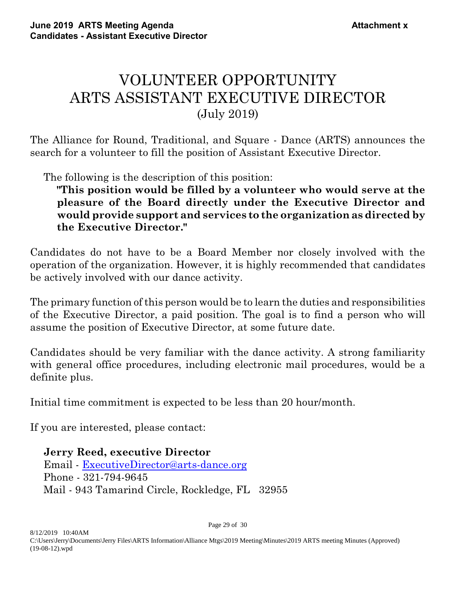## VOLUNTEER OPPORTUNITY ARTS ASSISTANT EXECUTIVE DIRECTOR (July 2019)

The Alliance for Round, Traditional, and Square - Dance (ARTS) announces the search for a volunteer to fill the position of Assistant Executive Director.

The following is the description of this position:

**"This position would be filled by a volunteer who would serve at the pleasure of the Board directly under the Executive Director and would provide support and services to the organization as directed by the Executive Director."**

Candidates do not have to be a Board Member nor closely involved with the operation of the organization. However, it is highly recommended that candidates be actively involved with our dance activity.

The primary function of this person would be to learn the duties and responsibilities of the Executive Director, a paid position. The goal is to find a person who will assume the position of Executive Director, at some future date.

Candidates should be very familiar with the dance activity. A strong familiarity with general office procedures, including electronic mail procedures, would be a definite plus.

Initial time commitment is expected to be less than 20 hour/month.

If you are interested, please contact:

**Jerry Reed, executive Director** Email - [ExecutiveDirector@arts-dance.org](mailto:ExecutiveDirector@arts-dance.org) Phone - 321-794-9645 Mail - 943 Tamarind Circle, Rockledge, FL 32955

Page 29 of 30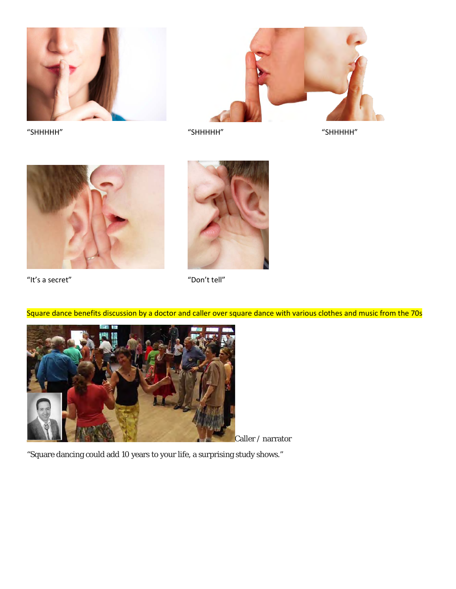



"SHHHHH" "SHHHHH" "SHHHHH"





"It's a secret" "Don't tell"

Square dance benefits discussion by a doctor and caller over square dance with various clothes and music from the 70s



Caller / narrator

"Square dancing could add 10 years to your life, a surprising study shows."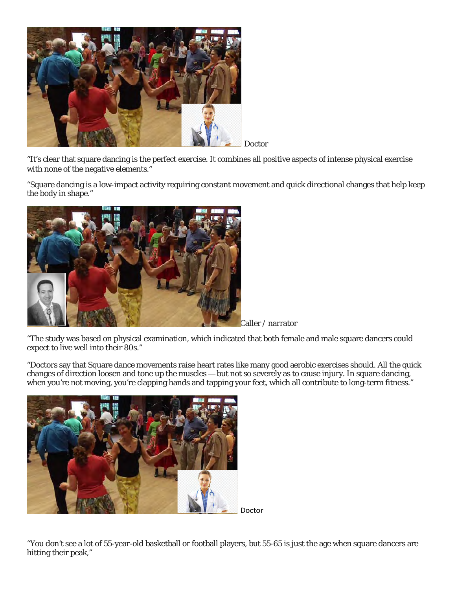

Doctor

"It's clear that square dancing is the perfect exercise. It combines all positive aspects of intense physical exercise with none of the negative elements."

"Square dancing is a low-impact activity requiring constant movement and quick directional changes that help keep the body in shape."



Caller / narrator

"The study was based on physical examination, which indicated that both female and male square dancers could expect to live well into their 80s."

"Doctors say that Square dance movements raise heart rates like many good aerobic exercises should. All the quick changes of direction loosen and tone up the muscles — but not so severely as to cause injury. In square dancing, when you're not moving, you're clapping hands and tapping your feet, which all contribute to long-term fitness."



Doctor

"You don't see a lot of 55-year-old basketball or football players, but 55-65 is just the age when square dancers are hitting their peak,"